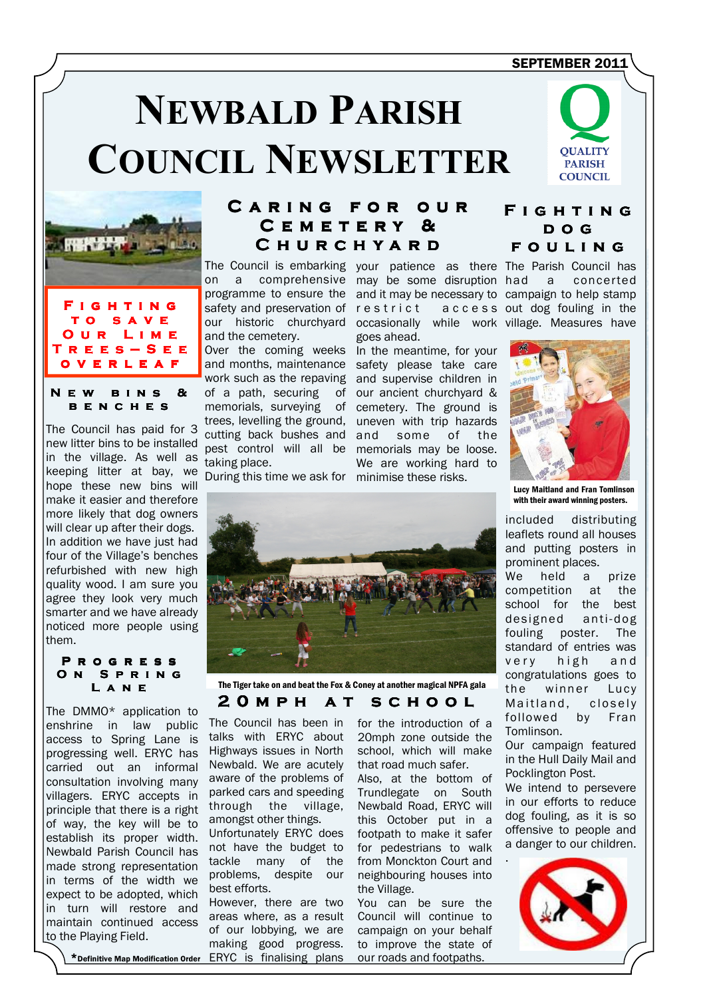## SEPTEMBER 2011

# **NEWBALD PARISH COUNCIL NEWSLETTER**





### NEW BINS &  $C$  H F S

The Council has paid for 3 new litter bins to be installed in the village. As well as keeping litter at bay, we hope these new bins will make it easier and therefore more likely that dog owners will clear up after their dogs. In addition we have just had four of the Village's benches refurbished with new high quality wood. I am sure you agree they look very much smarter and we have already noticed more people using them.

### P R O G R E S S ON SPRING L a n e e

The DMMO\* application to enshrine in law public access to Spring Lane is progressing well. ERYC has carried out an informal consultation involving many villagers. ERYC accepts in principle that there is a right of way, the key will be to establish its proper width. Newbald Parish Council has made strong representation in terms of the width we expect to be adopted, which in turn will restore and maintain continued access to the Playing Field.

# CARING FOR OUR CEMETERY & C H U R C H Y A R D

safety and preservation of our historic churchyard and the cemetery.

Over the coming weeks and months, maintenance work such as the repaving of a path, securing of memorials, surveying of trees, levelling the ground, cutting back bushes and pest control will all be taking place.

During this time we ask for minimise these risks.

The Council is embarking your patience as there The Parish Council has on a comprehensive may be some disruption had a concerted programme to ensure the and it may be necessary to campaign to help stamp r e s t r i c t occasionally while work village. Measures have goes ahead.

> In the meantime, for your safety please take care and supervise children in our ancient churchyard & cemetery. The ground is uneven with trip hazards and some of the memorials may be loose. We are working hard to



# F I G H T I N G d o g FOULING

access out dog fouling in the



Lucy Maitland and Fran Tomlinson with their award winning posters.

included distributing leaflets round all houses and putting posters in prominent places. We held a prize competition at the school for the best designed anti- dog fouling poster. The standard of entries was very high and congratulations goes to the winner Lucy Maitland, closely followed by Fran Tomlinson.

Our campaign featured in the Hull Daily Mail and Pocklington Post.

We intend to persevere in our efforts to reduce dog fouling, as it is so offensive to people and a danger to our children.





2 O M P H A T S C H O O L The Tiger take on and beat the Fox & Coney at another magical NPFA gala

The Council has been in talks with ERYC about Highways issues in North Newbald. We are acutely aware of the problems of parked cars and speeding through the village, amongst other things.

Unfortunately ERYC does not have the budget to tackle many of the problems, despite our best efforts.

However, there are two areas where, as a result of our lobbying, we are making good progress.

for the introduction of a 20mph zone outside the school, which will make that road much safer.

Also, at the bottom of Trundlegate on South Newbald Road, ERYC will this October put in a footpath to make it safer for pedestrians to walk from Monckton Court and neighbouring houses into the Village.

You can be sure the Council will continue to campaign on your behalf to improve the state of our roads and footpaths.

\*Definitive Map Modification Order ERYC is finalising plans